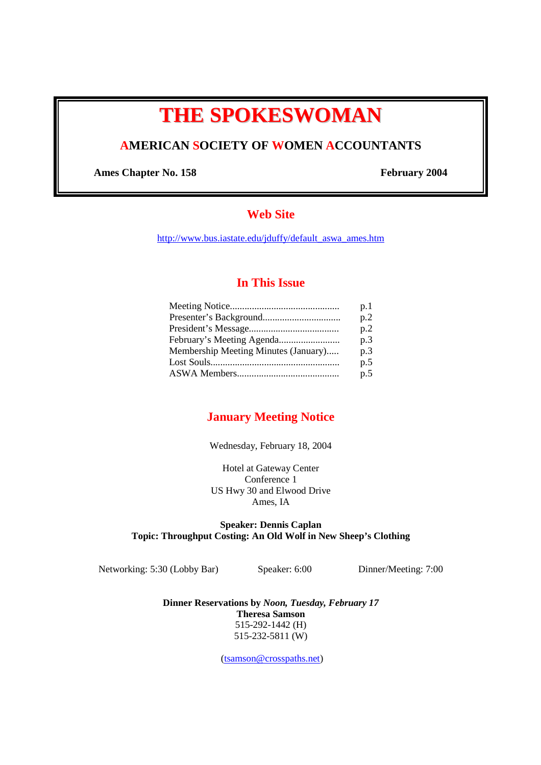# **THE SPOKESWOMAN**

# **AMERICAN SOCIETY OF WOMEN ACCOUNTANTS**

Ames Chapter No. 158 February 2004

# **Web Site**

http://www.bus.iastate.edu/jduffy/default\_aswa\_ames.htm

# **In This Issue**

|                                      | p.1 |
|--------------------------------------|-----|
|                                      | p.2 |
|                                      | p.2 |
|                                      | p.3 |
| Membership Meeting Minutes (January) | p.3 |
|                                      | p.5 |
|                                      | p.5 |
|                                      |     |

# **January Meeting Notice**

## Wednesday, February 18, 2004

Hotel at Gateway Center Conference 1 US Hwy 30 and Elwood Drive Ames, IA

## **Speaker: Dennis Caplan Topic: Throughput Costing: An Old Wolf in New Sheep's Clothing**

Networking: 5:30 (Lobby Bar) Speaker: 6:00 Dinner/Meeting: 7:00

**Dinner Reservations by** *Noon, Tuesday, February 17* **Theresa Samson**  515-292-1442 (H) 515-232-5811 (W)

(tsamson@crosspaths.net)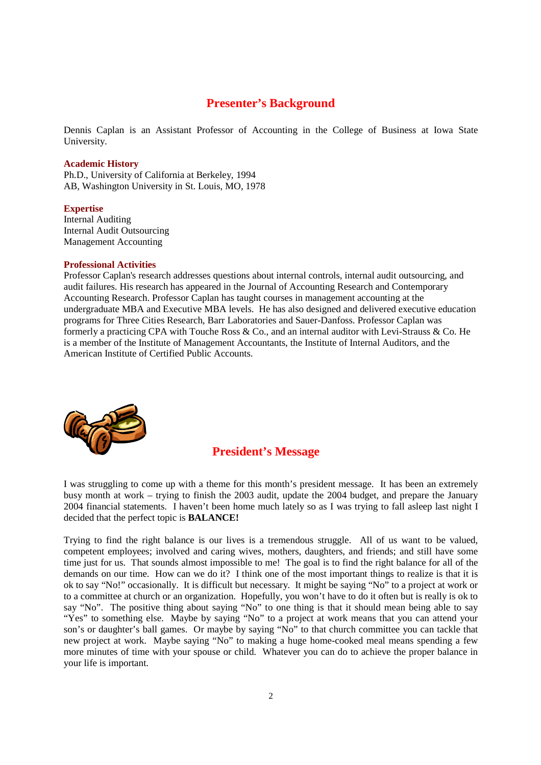# **Presenter's Background**

Dennis Caplan is an Assistant Professor of Accounting in the College of Business at Iowa State University.

#### **Academic History**

Ph.D., University of California at Berkeley, 1994 AB, Washington University in St. Louis, MO, 1978

#### **Expertise**

Internal Auditing Internal Audit Outsourcing Management Accounting

#### **Professional Activities**

Professor Caplan's research addresses questions about internal controls, internal audit outsourcing, and audit failures. His research has appeared in the Journal of Accounting Research and Contemporary Accounting Research. Professor Caplan has taught courses in management accounting at the undergraduate MBA and Executive MBA levels. He has also designed and delivered executive education programs for Three Cities Research, Barr Laboratories and Sauer-Danfoss. Professor Caplan was formerly a practicing CPA with Touche Ross & Co., and an internal auditor with Levi-Strauss & Co. He is a member of the Institute of Management Accountants, the Institute of Internal Auditors, and the American Institute of Certified Public Accounts.



## **President's Message**

I was struggling to come up with a theme for this month's president message. It has been an extremely busy month at work – trying to finish the 2003 audit, update the 2004 budget, and prepare the January 2004 financial statements. I haven't been home much lately so as I was trying to fall asleep last night I decided that the perfect topic is **BALANCE!** 

Trying to find the right balance is our lives is a tremendous struggle. All of us want to be valued, competent employees; involved and caring wives, mothers, daughters, and friends; and still have some time just for us. That sounds almost impossible to me! The goal is to find the right balance for all of the demands on our time. How can we do it? I think one of the most important things to realize is that it is ok to say "No!" occasionally. It is difficult but necessary. It might be saying "No" to a project at work or to a committee at church or an organization. Hopefully, you won't have to do it often but is really is ok to say "No". The positive thing about saying "No" to one thing is that it should mean being able to say "Yes" to something else. Maybe by saying "No" to a project at work means that you can attend your son's or daughter's ball games. Or maybe by saying "No" to that church committee you can tackle that new project at work. Maybe saying "No" to making a huge home-cooked meal means spending a few more minutes of time with your spouse or child. Whatever you can do to achieve the proper balance in your life is important.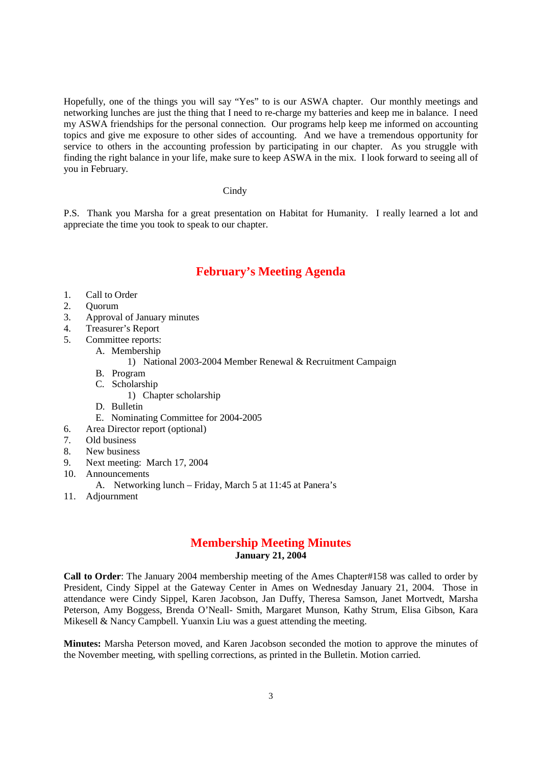Hopefully, one of the things you will say "Yes" to is our ASWA chapter. Our monthly meetings and networking lunches are just the thing that I need to re-charge my batteries and keep me in balance. I need my ASWA friendships for the personal connection. Our programs help keep me informed on accounting topics and give me exposure to other sides of accounting. And we have a tremendous opportunity for service to others in the accounting profession by participating in our chapter. As you struggle with finding the right balance in your life, make sure to keep ASWA in the mix. I look forward to seeing all of you in February.

#### **Cindy**

P.S. Thank you Marsha for a great presentation on Habitat for Humanity. I really learned a lot and appreciate the time you took to speak to our chapter.

# **February's Meeting Agenda**

- 1. Call to Order
- 2. Quorum
- 3. Approval of January minutes
- 4. Treasurer's Report
- 5. Committee reports:
	- A. Membership
		- 1) National 2003-2004 Member Renewal & Recruitment Campaign
	- B. Program
	- C. Scholarship
		- 1) Chapter scholarship
	- D. Bulletin
	- E. Nominating Committee for 2004-2005
- 6. Area Director report (optional)
- 7. Old business
- 8. New business
- 9. Next meeting: March 17, 2004
- 10. Announcements
	- A. Networking lunch Friday, March 5 at 11:45 at Panera's
- 11. Adjournment

## **Membership Meeting Minutes January 21, 2004**

**Call to Order**: The January 2004 membership meeting of the Ames Chapter#158 was called to order by President, Cindy Sippel at the Gateway Center in Ames on Wednesday January 21, 2004. Those in attendance were Cindy Sippel, Karen Jacobson, Jan Duffy, Theresa Samson, Janet Mortvedt, Marsha Peterson, Amy Boggess, Brenda O'Neall- Smith, Margaret Munson, Kathy Strum, Elisa Gibson, Kara Mikesell & Nancy Campbell. Yuanxin Liu was a guest attending the meeting.

**Minutes:** Marsha Peterson moved, and Karen Jacobson seconded the motion to approve the minutes of the November meeting, with spelling corrections, as printed in the Bulletin. Motion carried.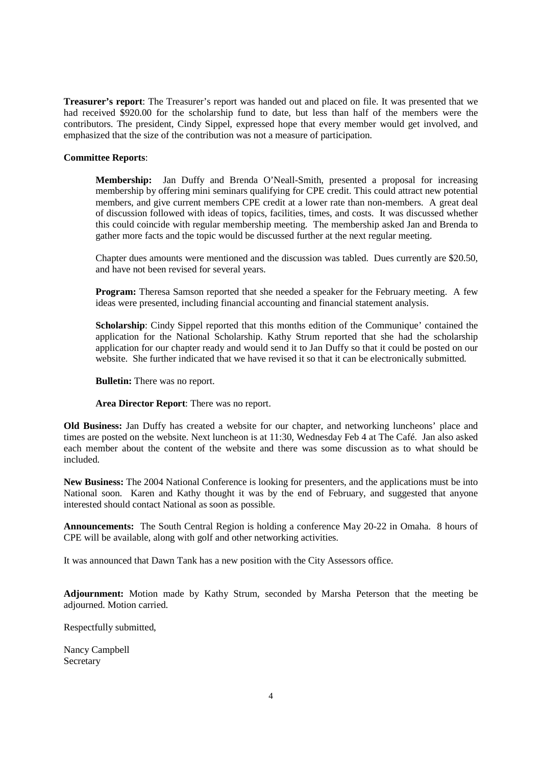**Treasurer's report**: The Treasurer's report was handed out and placed on file. It was presented that we had received \$920.00 for the scholarship fund to date, but less than half of the members were the contributors. The president, Cindy Sippel, expressed hope that every member would get involved, and emphasized that the size of the contribution was not a measure of participation.

### **Committee Reports**:

**Membership:** Jan Duffy and Brenda O'Neall-Smith, presented a proposal for increasing membership by offering mini seminars qualifying for CPE credit. This could attract new potential members, and give current members CPE credit at a lower rate than non-members. A great deal of discussion followed with ideas of topics, facilities, times, and costs. It was discussed whether this could coincide with regular membership meeting. The membership asked Jan and Brenda to gather more facts and the topic would be discussed further at the next regular meeting.

Chapter dues amounts were mentioned and the discussion was tabled. Dues currently are \$20.50, and have not been revised for several years.

**Program:** Theresa Samson reported that she needed a speaker for the February meeting. A few ideas were presented, including financial accounting and financial statement analysis.

**Scholarship**: Cindy Sippel reported that this months edition of the Communique' contained the application for the National Scholarship. Kathy Strum reported that she had the scholarship application for our chapter ready and would send it to Jan Duffy so that it could be posted on our website. She further indicated that we have revised it so that it can be electronically submitted.

**Bulletin:** There was no report.

**Area Director Report**: There was no report.

**Old Business:** Jan Duffy has created a website for our chapter, and networking luncheons' place and times are posted on the website. Next luncheon is at 11:30, Wednesday Feb 4 at The Café. Jan also asked each member about the content of the website and there was some discussion as to what should be included.

**New Business:** The 2004 National Conference is looking for presenters, and the applications must be into National soon. Karen and Kathy thought it was by the end of February, and suggested that anyone interested should contact National as soon as possible.

**Announcements:** The South Central Region is holding a conference May 20-22 in Omaha. 8 hours of CPE will be available, along with golf and other networking activities.

It was announced that Dawn Tank has a new position with the City Assessors office.

**Adjournment:** Motion made by Kathy Strum, seconded by Marsha Peterson that the meeting be adjourned. Motion carried.

Respectfully submitted,

Nancy Campbell Secretary